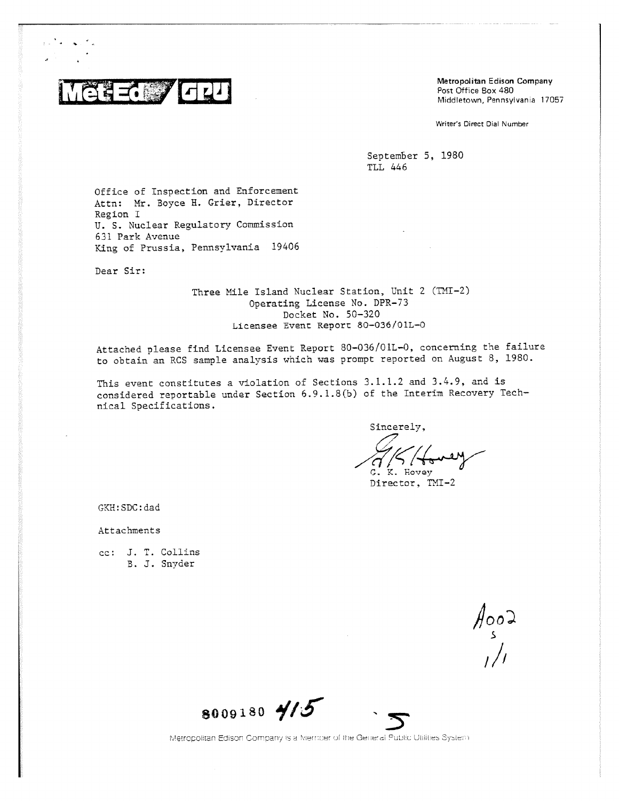

Metropolitan Edison Company Post Office Box 480 Middletown, Pennsylvania 17057

Writer's Direct Dial Number

September 5, 1980 TLL 446

Office of Inspection and Enforcement Attn: Mr. Boyce H. Grier, Director Region I U. S. Nuclear Regulatory Commission 631 Park Avenue King of Prussia, Pennsylvania 19406

Dear Sir:

Three Mile Island Nuclear Station, Unit 2 (TMI-2) Operating License No. DPR-73 Docket No. 50-320 Licensee Event Report 80-036/01L-0

Attached please find Licensee Event Report 80-036/01L-0, concerning the failure to obtain an RCS sample analysis which was prompt reported on August 8, 1980.

This event constitutes a violation of Sections 3.1.1.2 and 3.4.9, and is considered reportable under Section 6.9.1.8(b) of the Interim Recovery Technical Specifications.

Sincerely,

G. K. Hovey

Director, TMI-2

GKH:SDC:dad

Attachments

cc: J. T. Collins B. J. Snyder

900ء<br>مراجع

8009180 415



Metropolitan Edison Company is a Member of the General Public Utilities System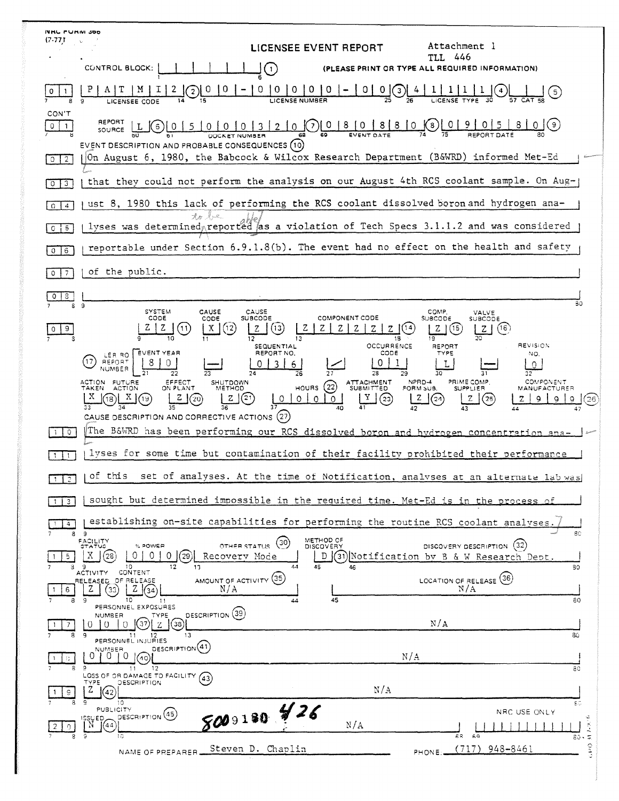| <b>NRC PURIVI 300</b>        |                                                                                                                                                                                                                                                   |
|------------------------------|---------------------------------------------------------------------------------------------------------------------------------------------------------------------------------------------------------------------------------------------------|
| (7.77)                       | Attachment l<br>LICENSEE EVENT REPORT                                                                                                                                                                                                             |
|                              | TI.L 446<br>CONTROL BLOCK:<br>(PLEASE PRINT OR TYPE ALL REQUIRED INFORMATION)<br>$\left(1\right)$                                                                                                                                                 |
|                              | 0 <sup>10</sup><br>0<br>$\overline{O}$<br>10<br>$\circ$<br>$\overline{0}$<br>(3<br>(5)                                                                                                                                                            |
| CON'T<br>0<br>-1             | REPORT<br>$0 0 0 3 2 0 0$<br>$0 8 0 8 10$<br>$\frac{1}{74}(8)$ 0<br>(9,<br>$\begin{array}{c c c c c} 0 & 5 \end{array}$<br>$\circ$<br>SOURCE                                                                                                      |
| $\overline{2}$<br>$\circ$    | EVENT DESCRIPTION AND PROBABLE CONSEQUENCES (10)<br>On August 6, 1980, the Babcock & Wilcox Research Department (B&WRD) informed Met-Ed                                                                                                           |
| $\overline{3}$<br>0          | that they could not perform the analysis on our August 4th RCS coolant sample. On Aug-                                                                                                                                                            |
| $\Omega$<br>$\overline{4}$   | ust 8, 1980 this lack of performing the RCS coolant dissolved boron and hydrogen ana-                                                                                                                                                             |
| -5<br>$\circ$                | to be<br>lyses was determined reported as a violation of Tech Specs 3.1.1.2 and was considered                                                                                                                                                    |
| 6<br>0                       | reportable under Section 6.9.1.8(b). The event had no effect on the health and safety                                                                                                                                                             |
|                              | of the public.                                                                                                                                                                                                                                    |
| 8.<br>S                      | BO.<br>$\overline{9}$                                                                                                                                                                                                                             |
| 9                            | <b>SYSTEM</b><br>CAUSE<br>CAUSE<br>COMP.<br>VALVE<br>CODE<br><b>COMPONENT CODE</b><br>SUBCODE<br><b>SUBCODE</b><br>SUBCODE<br>CODE<br>X<br>(16)<br>(12)<br>(15<br>11<br>13<br>$Z \mid$<br>19<br>12<br>13<br>18                                    |
|                              | REVISION<br>OCCURRENCE<br><b>SEQUENTIAL</b><br>REPORT<br><b>EVENT YEAR</b><br>REPORT NO.<br>CODE<br>TYPE<br>NO.<br>LER RO<br>REPORT<br>17<br>6.<br>O.<br>NUMBER                                                                                   |
|                              | 27<br>28<br>26<br>29<br>NPRD-4<br>PRIME COMP.<br>COMPONENT<br>ACTION FUTURE<br>EFFECT<br>SHUTDOWN<br>ATTACHMENT<br>SUBMITTED<br>(22)<br>TAKEN ACTION<br>ON PLANT<br>HOURS<br><b>METHOD</b><br>FORM SUB.<br><b>SUPPLIER</b><br><b>MANUFACTURER</b> |
|                              | Y<br>21<br>z<br>$\circ$<br>(23)<br>Z<br>(24<br>25<br>$\circ$<br>∩<br>O<br>26<br>CAUSE DESCRIPTION AND CORRECTIVE ACTIONS (27)                                                                                                                     |
| $\circ$                      | The B&WRD has been performing our RCS dissolved boron and hydrogen concentration ana-                                                                                                                                                             |
|                              | lyses for some time but contamination of their facility prohibited their performance                                                                                                                                                              |
| $1 \mid 2 \mid$              | of this set of analyses. At the time of Notification, analyses at an alternate lab was                                                                                                                                                            |
| $\mathbf{3}$<br>$\mathbf{1}$ | sought but determined impossible in the required time. Met-Ed is in the process of                                                                                                                                                                |
| 4                            | establishing on-site capabilities for performing the routine RCS coolant analyses<br>80<br>89                                                                                                                                                     |
| 5.                           | METHOD OF<br>DISCOVERY<br>FACILITY<br>GTATUS<br>(30)<br>DISCOVERY DESCRIPTION (32)<br>OTHER STATUS<br>% POWER<br>Χ<br>O<br>O<br>D (31) Notification by B & W Research Dept.<br>28<br>Recovery Mode<br>29                                          |
| з<br>6                       | 44<br>45<br>10.<br>13<br>46<br>80<br>CONTENT<br><b>ACTIVITY</b><br>AMOUNT OF ACTIVITY (35)<br>(36)<br>RELEASED OF RELEASE<br>LOCATION OF RELEASE<br>N/A<br>N/A<br>Z<br>33<br>34                                                                   |
| 8                            | 10<br>45<br>-9<br>80<br>44<br>11<br>PERSONNEL EXPOSURES<br>DESCRIPTION (39)<br>NUMBER<br>TYPE                                                                                                                                                     |
| 8                            | N/A<br>(38)<br>$\theta$<br>9<br>13<br>80<br>11<br>$12 \,$                                                                                                                                                                                         |
| 91                           | PERSONNEL INJURIES<br>DESCRIPTION <sup>(41)</sup><br>NUMBER<br>$\Omega$<br>0<br>N/A<br>(40)<br>89<br>12<br>80<br>11                                                                                                                               |
| g.                           | LOSS OF OR DAMAGE TO FACILITY.<br>(43)<br>TYPE.<br>DESCRIPTION<br>N/A<br>Z<br>42                                                                                                                                                                  |
|                              | ۰Q<br>10<br>εc<br>8009180 \$26<br>PUBLICITY<br>NRC USE ONLY<br>DESCRIPTION <sup>(45)</sup><br>چ<br>ISSUED<br>N/A<br>(1, 3)<br>N<br>1444                                                                                                           |
|                              | 10<br>68<br>69<br>$80 - 7$<br>ું<br>948-8461<br>Steven D. Chaplin<br>(717)<br>NAME OF PREPARER<br>PHONE:                                                                                                                                          |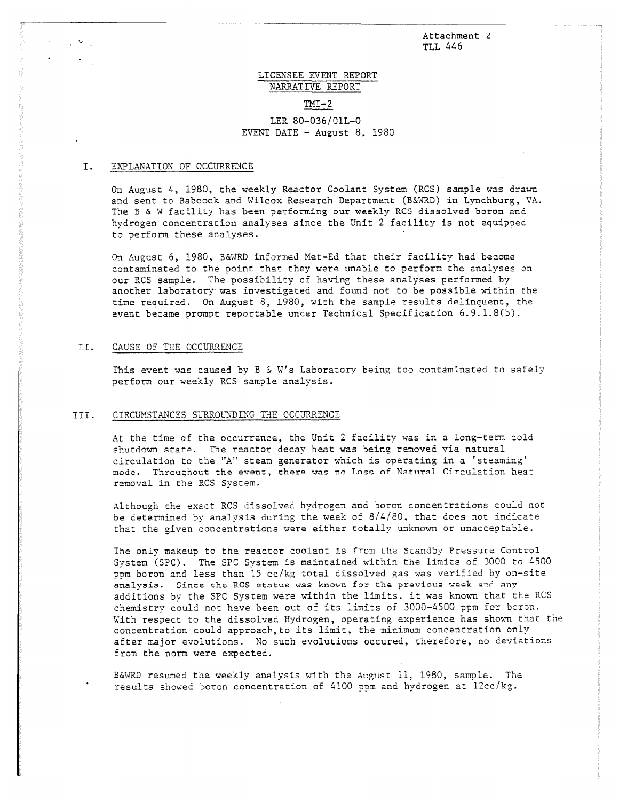Attachment 2 TLL 446

## LICENSEE EVENT REPORT NARRATIVE REPORT

## $TM-2$

## LER 80-036/01L-0 EVENT DATE - August 8, 1980

## I. EXPLANATION OF OCCURRENCE

On August 4, 1980, the weekly Reactor Coolant System (RCS) sample was drawn and sent to Babcock and Wilcox Research Department (B&WRD) in Lynchburg, VA. The B & W facility has been performing our weekly RCS dissolved boron and hydrogen concentration analyses since the Unit 2 facility is not equipped to perform these analyses.

On August 6, 1980, B&WRD informed Met-Ed that their facility had become contaminated to the point that they were unable to perform the analyses on our RCS sample. The possibility of having these analyses performed by another laboratory was investigated and found not to be possible within the time required. On August 8, 1980, with the sample results delinquent, the event became prompt reportable under Technical Specification 6.9.1.8(b).

#### II. CAUSE OF THE OCCURRENCE

This event was caused by B & W's Laboratory being too contaminated to safely perform our weekly RCS sample analysis.

# III. CIRCUMSTANCES SURROUNDING THE OCCURRENCE

At the time of the occurrence, the Unit 2 facility was in a long-term cold shutdown state. The reactor decay heat was being removed via natural circulation to the "A" steam generator which is operating in a 'steaming' mode. Throughout the event, there was no Loss of Natural Circulation heat removal in the RCS System.

Although the exact RCS dissolved hydrogen and boron concentrations could not be determined by analysis during the week of 8/4/80, that does not indicate that the given concentrations were either totally unknown or unacceptable.

The only makeup to the reactor coolant is from the Standby Pressure Control System (SPC). The SPC System is maintained within the limits of 3000 to 4500 ppm boron and less than 15 cc/kg total dissolved gas was verified by on-site analysis. Since the RCS status was known for the previous week and any additions by the SPC System were within the limits, it was known that the RCS chemistry could not have been out of its limits of 3000-4500 ppm for boron. With respect to the dissolved Hydrogen, operating experience has shown that the concentration could approach, to its limit, the minimum concentration only after major evolutions. No such evolutions occured, therefore, no deviations from the norm were expected.

B&WRD resumed the weekly analysis with the August 11, 1980, sample. The results showed boron concentration of 4100 ppm and hydrogen at 12cc/kg.